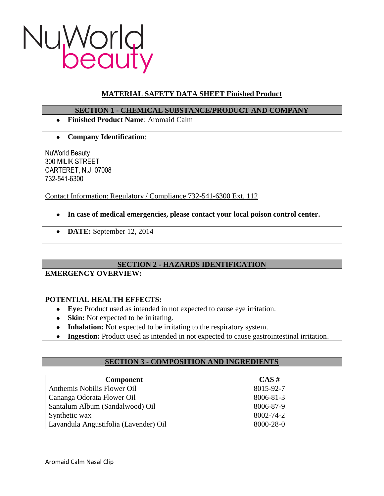

# **MATERIAL SAFETY DATA SHEET Finished Product**

## **SECTION 1 - CHEMICAL SUBSTANCE/PRODUCT AND COMPANY**

- **Finished Product Name**: Aromaid Calm
- **Company Identification**:  $\bullet$

NuWorld Beauty 300 MILIK STREET CARTERET, N.J. 07008 732-541-6300

Contact Information: Regulatory / Compliance 732-541-6300 Ext. 112

- **In case of medical emergencies, please contact your local poison control center.**
- **DATE:** September 12, 2014

# **SECTION 2 - HAZARDS IDENTIFICATION**

### **EMERGENCY OVERVIEW:**

# **POTENTIAL HEALTH EFFECTS:**

- **Eye:** Product used as intended in not expected to cause eye irritation.
- **Skin:** Not expected to be irritating.
- **Inhalation:** Not expected to be irritating to the respiratory system.
- **Ingestion:** Product used as intended in not expected to cause gastrointestinal irritation.

| <b>SECTION 3 - COMPOSITION AND INGREDIENTS</b> |           |
|------------------------------------------------|-----------|
|                                                |           |
| <b>Component</b>                               | $CAS \#$  |
| Anthemis Nobilis Flower Oil                    | 8015-92-7 |
| Cananga Odorata Flower Oil                     | 8006-81-3 |
| Santalum Album (Sandalwood) Oil                | 8006-87-9 |
| Synthetic wax                                  | 8002-74-2 |
| Lavandula Angustifolia (Lavender) Oil          | 8000-28-0 |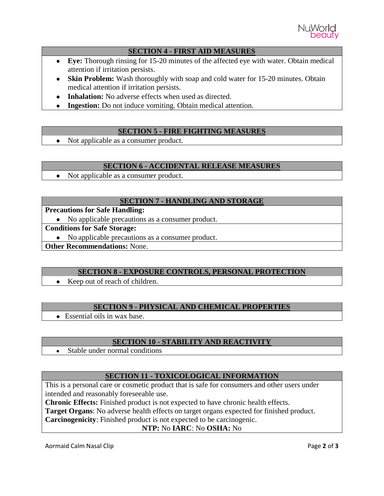

## **SECTION 4 - FIRST AID MEASURES**

- **Eye:** Thorough rinsing for 15-20 minutes of the affected eye with water. Obtain medical attention if irritation persists.
- **Skin Problem:** Wash thoroughly with soap and cold water for 15-20 minutes. Obtain medical attention if irritation persists.
- **Inhalation:** No adverse effects when used as directed.
- **Ingestion:** Do not induce vomiting. Obtain medical attention.

## **SECTION 5 - FIRE FIGHTING MEASURES**

• Not applicable as a consumer product.

### **SECTION 6 - ACCIDENTAL RELEASE MEASURES**

Not applicable as a consumer product.  $\bullet$ 

### **SECTION 7 - HANDLING AND STORAGE**

## **Precautions for Safe Handling:**

• No applicable precautions as a consumer product.

### **Conditions for Safe Storage:**

No applicable precautions as a consumer product.

**Other Recommendations:** None.

### **SECTION 8 - EXPOSURE CONTROLS, PERSONAL PROTECTION**

• Keep out of reach of children.

# **SECTION 9 - PHYSICAL AND CHEMICAL PROPERTIES**

• Essential oils in wax base.

## **SECTION 10 - STABILITY AND REACTIVITY**

Stable under normal conditions  $\bullet$ 

### **SECTION 11 - TOXICOLOGICAL INFORMATION**

This is a personal care or cosmetic product that is safe for consumers and other users under intended and reasonably foreseeable use.

**Chronic Effects:** Finished product is not expected to have chronic health effects.

**Target Organs**: No adverse health effects on target organs expected for finished product.

**Carcinogenicity**: Finished product is not expected to be carcinogenic.

### **NTP:** No **IARC**: No **OSHA:** No